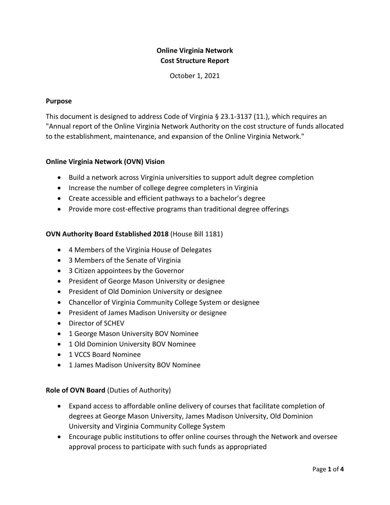# **Online Virginia Network Cost Structure Report**

October 1, 2021

#### **Purpose**

This document is designed to address Code of Virginia § 23.1-3137 (11.), which requires an "Annual report of the Online Virginia Network Authority on the cost structure of funds allocated to the establishment, maintenance, and expansion of the Online Virginia Network."

#### **Online Virginia Network (OVN) Vision**

- Build a network across Virginia universities to support adult degree completion
- Increase the number of college degree completers in Virginia
- Create accessible and efficient pathways to a bachelor's degree
- Provide more cost-effective programs than traditional degree offerings

#### **OVN Authority Board Established 2018** (House Bill 1181)

- 4 Members of the Virginia House of Delegates
- 3 Members of the Senate of Virginia
- 3 Citizen appointees by the Governor
- President of George Mason University or designee
- President of Old Dominion University or designee
- Chancellor of Virginia Community College System or designee
- President of James Madison University or designee
- Director of SCHEV
- 1 George Mason University BOV Nominee
- 1 Old Dominion University BOV Nominee
- 1 VCCS Board Nominee
- 1 James Madison University BOV Nominee

#### **Role of OVN Board** (Duties of Authority)

- Expand access to affordable online delivery of courses that facilitate completion of degrees at George Mason University, James Madison University, Old Dominion University and Virginia Community College System
- Encourage public institutions to offer online courses through the Network and oversee approval process to participate with such funds as appropriated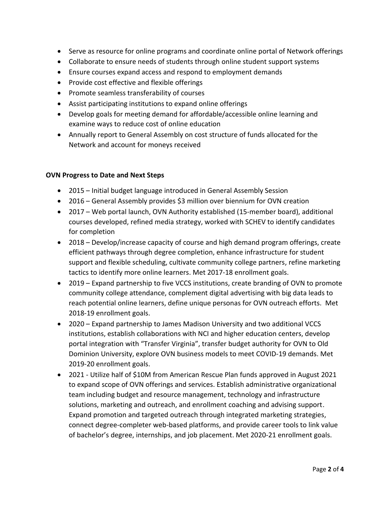- Serve as resource for online programs and coordinate online portal of Network offerings
- Collaborate to ensure needs of students through online student support systems
- Ensure courses expand access and respond to employment demands
- Provide cost effective and flexible offerings
- Promote seamless transferability of courses
- Assist participating institutions to expand online offerings
- Develop goals for meeting demand for affordable/accessible online learning and examine ways to reduce cost of online education
- Annually report to General Assembly on cost structure of funds allocated for the Network and account for moneys received

#### **OVN Progress to Date and Next Steps**

- 2015 Initial budget language introduced in General Assembly Session
- 2016 General Assembly provides \$3 million over biennium for OVN creation
- 2017 Web portal launch, OVN Authority established (15-member board), additional courses developed, refined media strategy, worked with SCHEV to identify candidates for completion
- 2018 Develop/increase capacity of course and high demand program offerings, create efficient pathways through degree completion, enhance infrastructure for student support and flexible scheduling, cultivate community college partners, refine marketing tactics to identify more online learners. Met 2017-18 enrollment goals.
- 2019 Expand partnership to five VCCS institutions, create branding of OVN to promote community college attendance, complement digital advertising with big data leads to reach potential online learners, define unique personas for OVN outreach efforts. Met 2018-19 enrollment goals.
- 2020 Expand partnership to James Madison University and two additional VCCS institutions, establish collaborations with NCI and higher education centers, develop portal integration with "Transfer Virginia", transfer budget authority for OVN to Old Dominion University, explore OVN business models to meet COVID-19 demands. Met 2019-20 enrollment goals.
- 2021 Utilize half of \$10M from American Rescue Plan funds approved in August 2021 to expand scope of OVN offerings and services. Establish administrative organizational team including budget and resource management, technology and infrastructure solutions, marketing and outreach, and enrollment coaching and advising support. Expand promotion and targeted outreach through integrated marketing strategies, connect degree-completer web-based platforms, and provide career tools to link value of bachelor's degree, internships, and job placement. Met 2020-21 enrollment goals.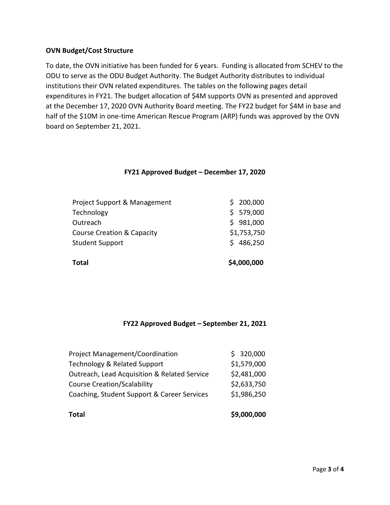### **OVN Budget/Cost Structure**

To date, the OVN initiative has been funded for 6 years. Funding is allocated from SCHEV to the ODU to serve as the ODU Budget Authority. The Budget Authority distributes to individual institutions their OVN related expenditures. The tables on the following pages detail expenditures in FY21. The budget allocation of \$4M supports OVN as presented and approved at the December 17, 2020 OVN Authority Board meeting. The FY22 budget for \$4M in base and half of the \$10M in one-time American Rescue Program (ARP) funds was approved by the OVN board on September 21, 2021.

## **FY21 Approved Budget – December 17, 2020**

| Total                                 | \$4,000,000 |
|---------------------------------------|-------------|
| <b>Student Support</b>                | \$486,250   |
| <b>Course Creation &amp; Capacity</b> | \$1,753,750 |
| Outreach                              | \$981,000   |
| Technology                            | \$579,000   |
| Project Support & Management          | 200,000     |

## **FY22 Approved Budget – September 21, 2021**

| <b>Total</b>                                 | \$9,000,000 |
|----------------------------------------------|-------------|
| Coaching, Student Support & Career Services  | \$1,986,250 |
| <b>Course Creation/Scalability</b>           | \$2,633,750 |
| Outreach, Lead Acquisition & Related Service | \$2,481,000 |
| Technology & Related Support                 | \$1,579,000 |
| <b>Project Management/Coordination</b>       | \$320,000   |